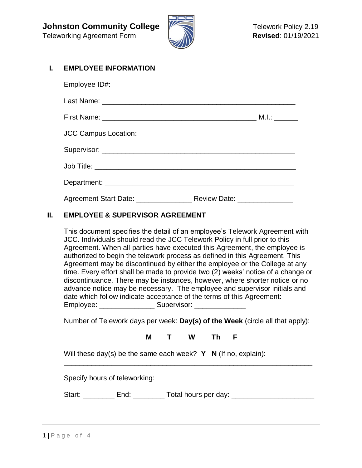

# **I. EMPLOYEE INFORMATION**

| Agreement Start Date: _________________________ Review Date: ___________________ |  |
|----------------------------------------------------------------------------------|--|

# **II. EMPLOYEE & SUPERVISOR AGREEMENT**

This document specifies the detail of an employee's Telework Agreement with JCC. Individuals should read the JCC Telework Policy in full prior to this Agreement. When all parties have executed this Agreement, the employee is authorized to begin the telework process as defined in this Agreement. This Agreement may be discontinued by either the employee or the College at any time. Every effort shall be made to provide two (2) weeks' notice of a change or discontinuance. There may be instances, however, where shorter notice or no advance notice may be necessary. The employee and supervisor initials and date which follow indicate acceptance of the terms of this Agreement: Employee: \_\_\_\_\_\_\_\_\_\_\_\_\_\_ Supervisor: \_\_\_\_\_\_\_\_\_\_\_\_\_

Number of Telework days per week: **Day(s) of the Week** (circle all that apply):

**M T W Th F**

\_\_\_\_\_\_\_\_\_\_\_\_\_\_\_\_\_\_\_\_\_\_\_\_\_\_\_\_\_\_\_\_\_\_\_\_\_\_\_\_\_\_\_\_\_\_\_\_\_\_\_\_\_\_\_\_\_\_\_\_\_\_\_

Will these day(s) be the same each week? **Y** N (If no, explain):

Specify hours of teleworking:

Start: \_\_\_\_\_\_\_\_ End: \_\_\_\_\_\_\_\_ Total hours per day: \_\_\_\_\_\_\_\_\_\_\_\_\_\_\_\_\_\_\_\_\_\_\_\_\_\_\_\_\_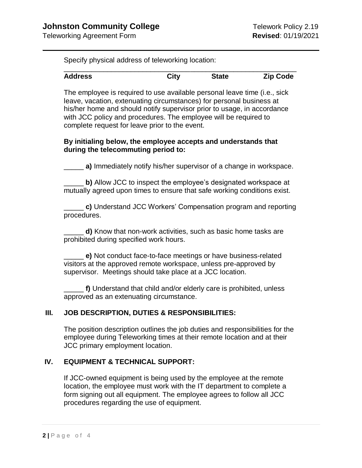Specify physical address of teleworking location:

| <b>Address</b> | City | <b>State</b> | <b>Zip Code</b> |
|----------------|------|--------------|-----------------|

The employee is required to use available personal leave time (i.e., sick leave, vacation, extenuating circumstances) for personal business at his/her home and should notify supervisor prior to usage, in accordance with JCC policy and procedures. The employee will be required to complete request for leave prior to the event.

#### **By initialing below, the employee accepts and understands that during the telecommuting period to:**

**a)** Immediately notify his/her supervisor of a change in workspace.

**b)** Allow JCC to inspect the employee's designated workspace at mutually agreed upon times to ensure that safe working conditions exist.

\_\_\_\_\_ **c)** Understand JCC Workers' Compensation program and reporting procedures.

d) Know that non-work activities, such as basic home tasks are prohibited during specified work hours.

\_\_\_\_\_ **e)** Not conduct face-to-face meetings or have business-related visitors at the approved remote workspace, unless pre-approved by supervisor. Meetings should take place at a JCC location.

\_\_\_\_\_ **f)** Understand that child and/or elderly care is prohibited, unless approved as an extenuating circumstance.

### **III. JOB DESCRIPTION, DUTIES & RESPONSIBILITIES:**

The position description outlines the job duties and responsibilities for the employee during Teleworking times at their remote location and at their JCC primary employment location.

### **IV. EQUIPMENT & TECHNICAL SUPPORT:**

If JCC-owned equipment is being used by the employee at the remote location, the employee must work with the IT department to complete a form signing out all equipment. The employee agrees to follow all JCC procedures regarding the use of equipment.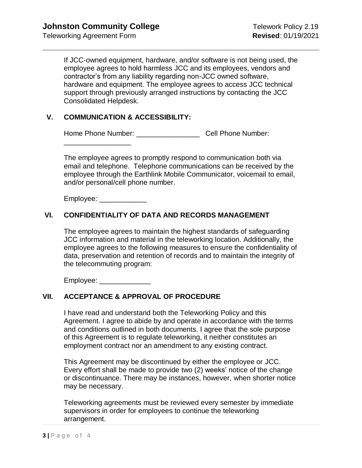If JCC-owned equipment, hardware, and/or software is not being used, the employee agrees to hold harmless JCC and its employees, vendors and contractor's from any liability regarding non-JCC owned software, hardware and equipment. The employee agrees to access JCC technical support through previously arranged instructions by contacting the JCC Consolidated Helpdesk.

#### **V. COMMUNICATION & ACCESSIBILITY:**

Home Phone Number: \_\_\_\_\_\_\_\_\_\_\_\_\_\_\_\_ Cell Phone Number:

\_\_\_\_\_\_\_\_\_\_\_\_\_\_\_\_\_

The employee agrees to promptly respond to communication both via email and telephone. Telephone communications can be received by the employee through the Earthlink Mobile Communicator, voicemail to email, and/or personal/cell phone number.

Employee: \_\_\_\_\_\_\_\_\_\_\_\_

### **VI. CONFIDENTIALITY OF DATA AND RECORDS MANAGEMENT**

The employee agrees to maintain the highest standards of safeguarding JCC information and material in the teleworking location. Additionally, the employee agrees to the following measures to ensure the confidentiality of data, preservation and retention of records and to maintain the integrity of the telecommuting program:

Employee:

### **VII. ACCEPTANCE & APPROVAL OF PROCEDURE**

I have read and understand both the Teleworking Policy and this Agreement. I agree to abide by and operate in accordance with the terms and conditions outlined in both documents. I agree that the sole purpose of this Agreement is to regulate teleworking, it neither constitutes an employment contract nor an amendment to any existing contract.

This Agreement may be discontinued by either the employee or JCC. Every effort shall be made to provide two (2) weeks' notice of the change or discontinuance. There may be instances, however, when shorter notice may be necessary.

Teleworking agreements must be reviewed every semester by immediate supervisors in order for employees to continue the teleworking arrangement.